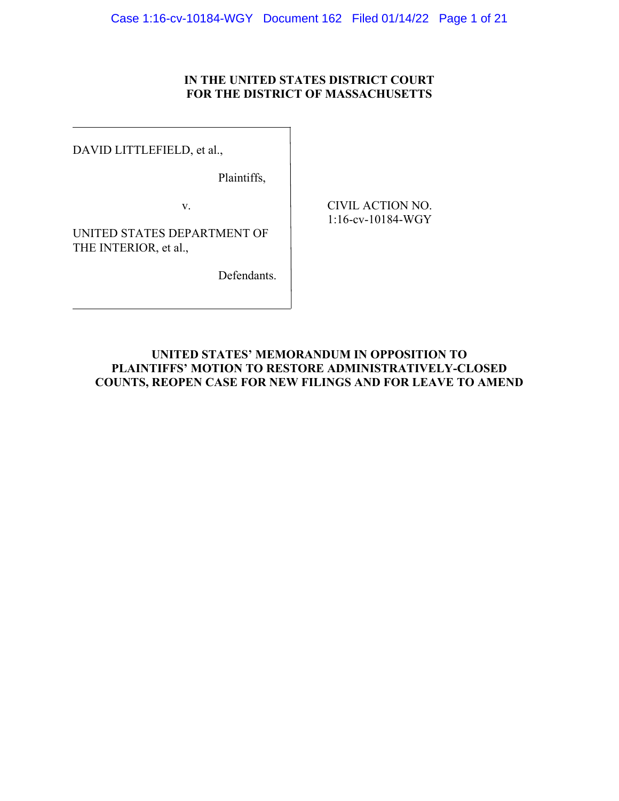# **IN THE UNITED STATES DISTRICT COURT FOR THE DISTRICT OF MASSACHUSETTS**

DAVID LITTLEFIELD, et al.,

 $\overline{a}$ 

Plaintiffs,

v. CIVIL ACTION NO.

1:16-cv-10184-WGY

UNITED STATES DEPARTMENT OF THE INTERIOR, et al.,

Defendants.

# **UNITED STATES' MEMORANDUM IN OPPOSITION TO PLAINTIFFS' MOTION TO RESTORE ADMINISTRATIVELY-CLOSED COUNTS, REOPEN CASE FOR NEW FILINGS AND FOR LEAVE TO AMEND**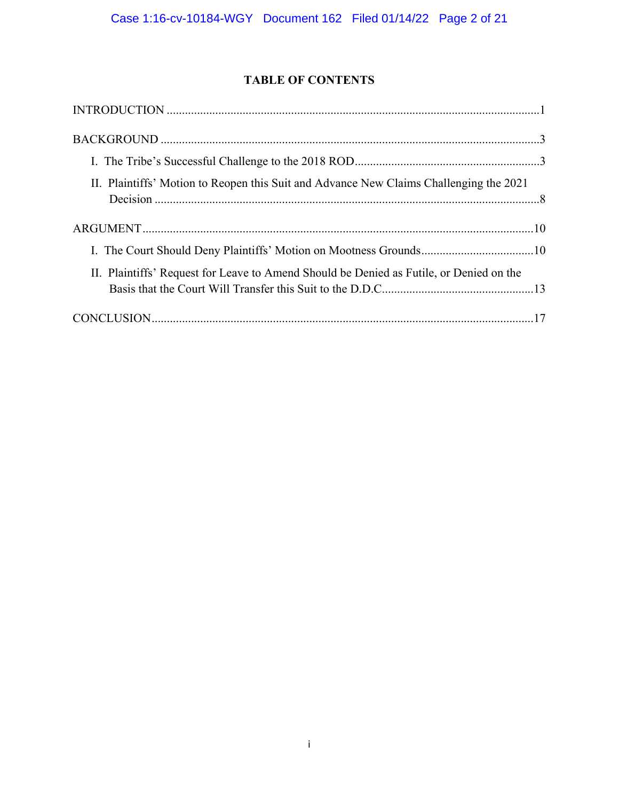# **TABLE OF CONTENTS**

| $\bf INTRODUCTION \,\,{} \dots \,\,{} \dots \,\,{} \dots \,\,{} \dots \,\,{} \dots \,\,{} \dots \,\,{} \dots \,\,{} \dots \,\,{} \dots \,\,{} \dots \,\,{} \dots \,\,{} \dots \,\,{} \dots \,\,{} \dots \,\,{} \dots \,\,{} \dots \,\,{} \dots \,\,{} \dots \,\,{} \dots \,\,{} \dots \,\,{} \dots \,\,{} \dots \,\,{} \dots \,\,{} \dots \,\,{} \dots \,\,{} \dots \,\,{} \dots \,\,{} \dots \,\,{} \dots \,\,{} \dots \,\,{} \dots \,\,{} \dots \,\,{} \dots \,\,{} \dots \,\,{} \dots \,\,{} \dots$ |  |
|--------------------------------------------------------------------------------------------------------------------------------------------------------------------------------------------------------------------------------------------------------------------------------------------------------------------------------------------------------------------------------------------------------------------------------------------------------------------------------------------------------|--|
|                                                                                                                                                                                                                                                                                                                                                                                                                                                                                                        |  |
|                                                                                                                                                                                                                                                                                                                                                                                                                                                                                                        |  |
| II. Plaintiffs' Motion to Reopen this Suit and Advance New Claims Challenging the 2021                                                                                                                                                                                                                                                                                                                                                                                                                 |  |
|                                                                                                                                                                                                                                                                                                                                                                                                                                                                                                        |  |
| I. The Court Should Deny Plaintiffs' Motion on Mootness Grounds10                                                                                                                                                                                                                                                                                                                                                                                                                                      |  |
| II. Plaintiffs' Request for Leave to Amend Should be Denied as Futile, or Denied on the                                                                                                                                                                                                                                                                                                                                                                                                                |  |
|                                                                                                                                                                                                                                                                                                                                                                                                                                                                                                        |  |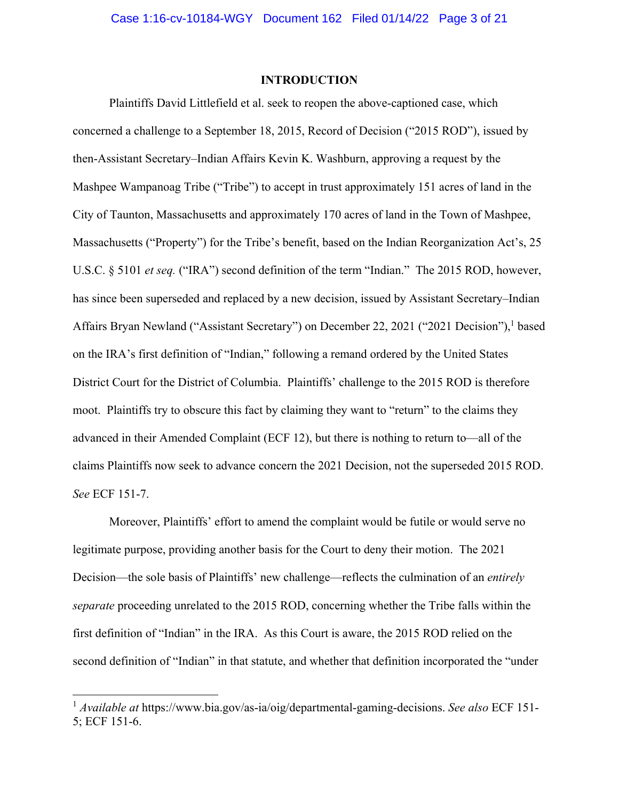# **INTRODUCTION**

Plaintiffs David Littlefield et al. seek to reopen the above-captioned case, which concerned a challenge to a September 18, 2015, Record of Decision ("2015 ROD"), issued by then-Assistant Secretary–Indian Affairs Kevin K. Washburn, approving a request by the Mashpee Wampanoag Tribe ("Tribe") to accept in trust approximately 151 acres of land in the City of Taunton, Massachusetts and approximately 170 acres of land in the Town of Mashpee, Massachusetts ("Property") for the Tribe's benefit, based on the Indian Reorganization Act's, 25 U.S.C. § 5101 *et seq.* ("IRA") second definition of the term "Indian." The 2015 ROD, however, has since been superseded and replaced by a new decision, issued by Assistant Secretary–Indian Affairs Bryan Newland ("Assistant Secretary") on December 22, 2021 ("2021 Decision"),<sup>1</sup> based on the IRA's first definition of "Indian," following a remand ordered by the United States District Court for the District of Columbia. Plaintiffs' challenge to the 2015 ROD is therefore moot. Plaintiffs try to obscure this fact by claiming they want to "return" to the claims they advanced in their Amended Complaint (ECF 12), but there is nothing to return to—all of the claims Plaintiffs now seek to advance concern the 2021 Decision, not the superseded 2015 ROD. *See* ECF 151-7.

Moreover, Plaintiffs' effort to amend the complaint would be futile or would serve no legitimate purpose, providing another basis for the Court to deny their motion. The 2021 Decision—the sole basis of Plaintiffs' new challenge—reflects the culmination of an *entirely separate* proceeding unrelated to the 2015 ROD, concerning whether the Tribe falls within the first definition of "Indian" in the IRA. As this Court is aware, the 2015 ROD relied on the second definition of "Indian" in that statute, and whether that definition incorporated the "under

<sup>1</sup> *Available at* https://www.bia.gov/as-ia/oig/departmental-gaming-decisions. *See also* ECF 151- 5; ECF 151-6.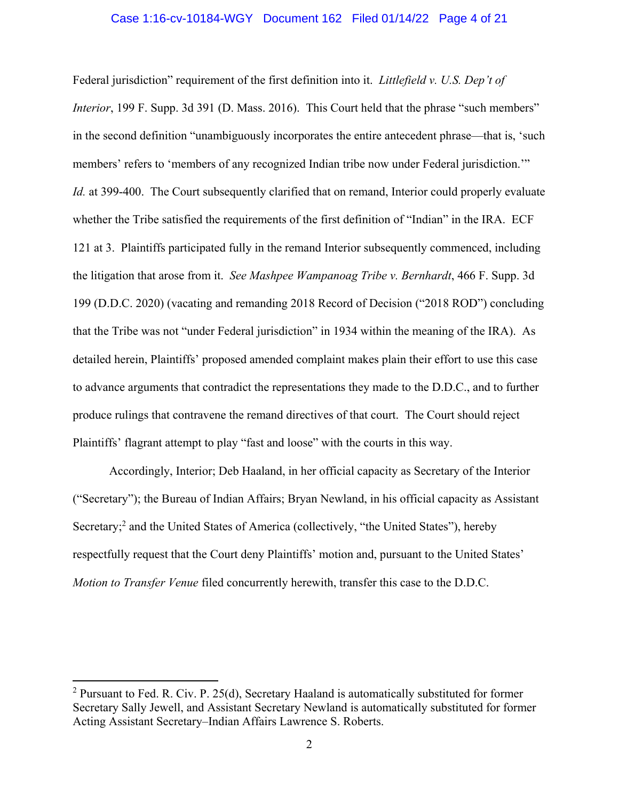#### Case 1:16-cv-10184-WGY Document 162 Filed 01/14/22 Page 4 of 21

Federal jurisdiction" requirement of the first definition into it. *Littlefield v. U.S. Dep't of Interior*, 199 F. Supp. 3d 391 (D. Mass. 2016). This Court held that the phrase "such members" in the second definition "unambiguously incorporates the entire antecedent phrase—that is, 'such members' refers to 'members of any recognized Indian tribe now under Federal jurisdiction.'" *Id.* at 399-400. The Court subsequently clarified that on remand, Interior could properly evaluate whether the Tribe satisfied the requirements of the first definition of "Indian" in the IRA. ECF 121 at 3. Plaintiffs participated fully in the remand Interior subsequently commenced, including the litigation that arose from it. *See Mashpee Wampanoag Tribe v. Bernhardt*, 466 F. Supp. 3d 199 (D.D.C. 2020) (vacating and remanding 2018 Record of Decision ("2018 ROD") concluding that the Tribe was not "under Federal jurisdiction" in 1934 within the meaning of the IRA). As detailed herein, Plaintiffs' proposed amended complaint makes plain their effort to use this case to advance arguments that contradict the representations they made to the D.D.C., and to further produce rulings that contravene the remand directives of that court. The Court should reject Plaintiffs' flagrant attempt to play "fast and loose" with the courts in this way.

Accordingly, Interior; Deb Haaland, in her official capacity as Secretary of the Interior ("Secretary"); the Bureau of Indian Affairs; Bryan Newland, in his official capacity as Assistant Secretary;<sup>2</sup> and the United States of America (collectively, "the United States"), hereby respectfully request that the Court deny Plaintiffs' motion and, pursuant to the United States' *Motion to Transfer Venue* filed concurrently herewith, transfer this case to the D.D.C.

<sup>&</sup>lt;sup>2</sup> Pursuant to Fed. R. Civ. P. 25(d), Secretary Haaland is automatically substituted for former Secretary Sally Jewell, and Assistant Secretary Newland is automatically substituted for former Acting Assistant Secretary–Indian Affairs Lawrence S. Roberts.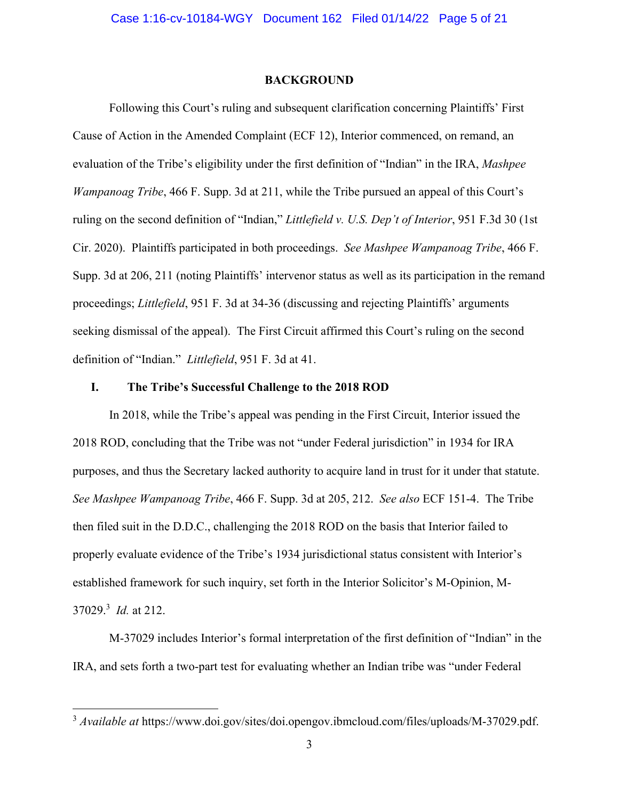#### **BACKGROUND**

Following this Court's ruling and subsequent clarification concerning Plaintiffs' First Cause of Action in the Amended Complaint (ECF 12), Interior commenced, on remand, an evaluation of the Tribe's eligibility under the first definition of "Indian" in the IRA, *Mashpee Wampanoag Tribe*, 466 F. Supp. 3d at 211, while the Tribe pursued an appeal of this Court's ruling on the second definition of "Indian," *Littlefield v. U.S. Dep't of Interior*, 951 F.3d 30 (1st Cir. 2020). Plaintiffs participated in both proceedings. *See Mashpee Wampanoag Tribe*, 466 F. Supp. 3d at 206, 211 (noting Plaintiffs' intervenor status as well as its participation in the remand proceedings; *Littlefield*, 951 F. 3d at 34-36 (discussing and rejecting Plaintiffs' arguments seeking dismissal of the appeal). The First Circuit affirmed this Court's ruling on the second definition of "Indian." *Littlefield*, 951 F. 3d at 41.

### **I. The Tribe's Successful Challenge to the 2018 ROD**

In 2018, while the Tribe's appeal was pending in the First Circuit, Interior issued the 2018 ROD, concluding that the Tribe was not "under Federal jurisdiction" in 1934 for IRA purposes, and thus the Secretary lacked authority to acquire land in trust for it under that statute. *See Mashpee Wampanoag Tribe*, 466 F. Supp. 3d at 205, 212. *See also* ECF 151-4. The Tribe then filed suit in the D.D.C., challenging the 2018 ROD on the basis that Interior failed to properly evaluate evidence of the Tribe's 1934 jurisdictional status consistent with Interior's established framework for such inquiry, set forth in the Interior Solicitor's M-Opinion, M-37029.3 *Id.* at 212.

M-37029 includes Interior's formal interpretation of the first definition of "Indian" in the IRA, and sets forth a two-part test for evaluating whether an Indian tribe was "under Federal

<sup>&</sup>lt;sup>3</sup> *Available at* https://www.doi.gov/sites/doi.opengov.ibmcloud.com/files/uploads/M-37029.pdf.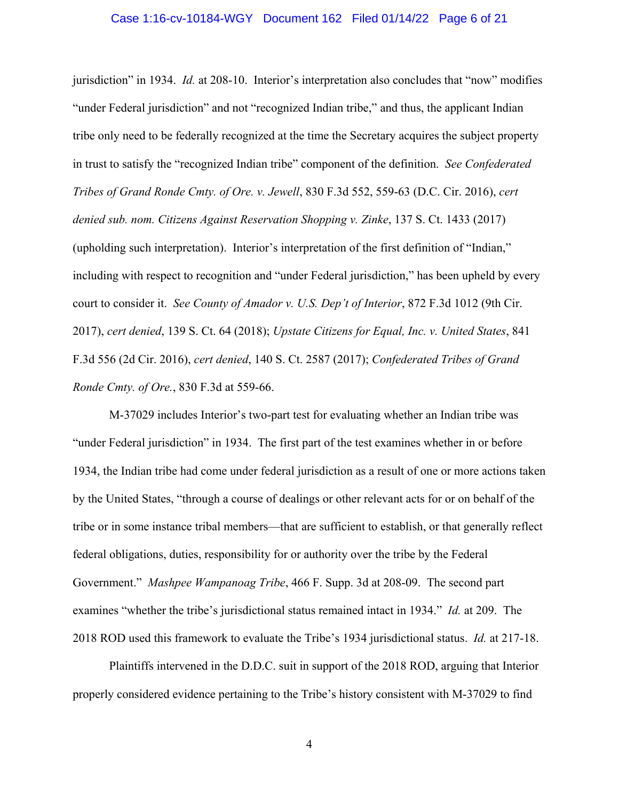#### Case 1:16-cv-10184-WGY Document 162 Filed 01/14/22 Page 6 of 21

jurisdiction" in 1934. *Id.* at 208-10. Interior's interpretation also concludes that "now" modifies "under Federal jurisdiction" and not "recognized Indian tribe," and thus, the applicant Indian tribe only need to be federally recognized at the time the Secretary acquires the subject property in trust to satisfy the "recognized Indian tribe" component of the definition. *See Confederated Tribes of Grand Ronde Cmty. of Ore. v. Jewell*, 830 F.3d 552, 559-63 (D.C. Cir. 2016), *cert denied sub. nom. Citizens Against Reservation Shopping v. Zinke*, 137 S. Ct. 1433 (2017) (upholding such interpretation). Interior's interpretation of the first definition of "Indian," including with respect to recognition and "under Federal jurisdiction," has been upheld by every court to consider it. *See County of Amador v. U.S. Dep't of Interior*, 872 F.3d 1012 (9th Cir. 2017), *cert denied*, 139 S. Ct. 64 (2018); *Upstate Citizens for Equal, Inc. v. United States*, 841 F.3d 556 (2d Cir. 2016), *cert denied*, 140 S. Ct. 2587 (2017); *Confederated Tribes of Grand Ronde Cmty. of Ore.*, 830 F.3d at 559-66.

M-37029 includes Interior's two-part test for evaluating whether an Indian tribe was "under Federal jurisdiction" in 1934. The first part of the test examines whether in or before 1934, the Indian tribe had come under federal jurisdiction as a result of one or more actions taken by the United States, "through a course of dealings or other relevant acts for or on behalf of the tribe or in some instance tribal members—that are sufficient to establish, or that generally reflect federal obligations, duties, responsibility for or authority over the tribe by the Federal Government." *Mashpee Wampanoag Tribe*, 466 F. Supp. 3d at 208-09. The second part examines "whether the tribe's jurisdictional status remained intact in 1934." *Id.* at 209. The 2018 ROD used this framework to evaluate the Tribe's 1934 jurisdictional status. *Id.* at 217-18.

Plaintiffs intervened in the D.D.C. suit in support of the 2018 ROD, arguing that Interior properly considered evidence pertaining to the Tribe's history consistent with M-37029 to find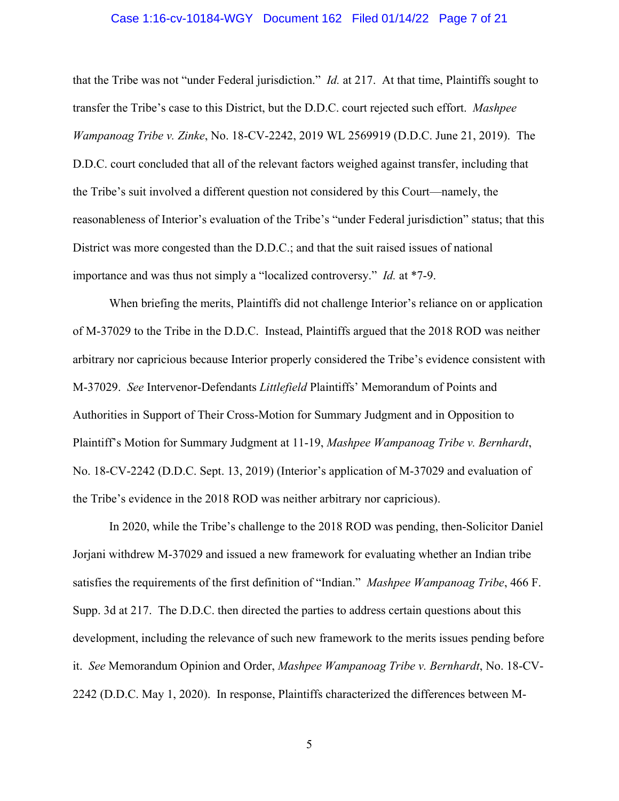#### Case 1:16-cv-10184-WGY Document 162 Filed 01/14/22 Page 7 of 21

that the Tribe was not "under Federal jurisdiction." *Id.* at 217. At that time, Plaintiffs sought to transfer the Tribe's case to this District, but the D.D.C. court rejected such effort. *Mashpee Wampanoag Tribe v. Zinke*, No. 18-CV-2242, 2019 WL 2569919 (D.D.C. June 21, 2019). The D.D.C. court concluded that all of the relevant factors weighed against transfer, including that the Tribe's suit involved a different question not considered by this Court—namely, the reasonableness of Interior's evaluation of the Tribe's "under Federal jurisdiction" status; that this District was more congested than the D.D.C.; and that the suit raised issues of national importance and was thus not simply a "localized controversy." *Id.* at \*7-9.

When briefing the merits, Plaintiffs did not challenge Interior's reliance on or application of M-37029 to the Tribe in the D.D.C. Instead, Plaintiffs argued that the 2018 ROD was neither arbitrary nor capricious because Interior properly considered the Tribe's evidence consistent with M-37029. *See* Intervenor-Defendants *Littlefield* Plaintiffs' Memorandum of Points and Authorities in Support of Their Cross-Motion for Summary Judgment and in Opposition to Plaintiff's Motion for Summary Judgment at 11-19, *Mashpee Wampanoag Tribe v. Bernhardt*, No. 18-CV-2242 (D.D.C. Sept. 13, 2019) (Interior's application of M-37029 and evaluation of the Tribe's evidence in the 2018 ROD was neither arbitrary nor capricious).

In 2020, while the Tribe's challenge to the 2018 ROD was pending, then-Solicitor Daniel Jorjani withdrew M-37029 and issued a new framework for evaluating whether an Indian tribe satisfies the requirements of the first definition of "Indian." *Mashpee Wampanoag Tribe*, 466 F. Supp. 3d at 217. The D.D.C. then directed the parties to address certain questions about this development, including the relevance of such new framework to the merits issues pending before it. *See* Memorandum Opinion and Order, *Mashpee Wampanoag Tribe v. Bernhardt*, No. 18-CV-2242 (D.D.C. May 1, 2020). In response, Plaintiffs characterized the differences between M-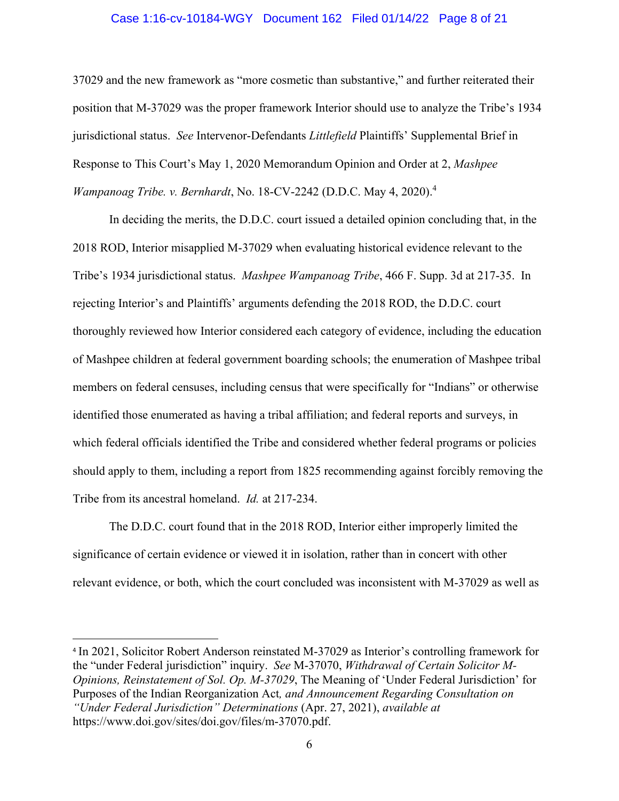### Case 1:16-cv-10184-WGY Document 162 Filed 01/14/22 Page 8 of 21

37029 and the new framework as "more cosmetic than substantive," and further reiterated their position that M-37029 was the proper framework Interior should use to analyze the Tribe's 1934 jurisdictional status. *See* Intervenor-Defendants *Littlefield* Plaintiffs' Supplemental Brief in Response to This Court's May 1, 2020 Memorandum Opinion and Order at 2, *Mashpee Wampanoag Tribe. v. Bernhardt*, No. 18-CV-2242 (D.D.C. May 4, 2020).4

In deciding the merits, the D.D.C. court issued a detailed opinion concluding that, in the 2018 ROD, Interior misapplied M-37029 when evaluating historical evidence relevant to the Tribe's 1934 jurisdictional status. *Mashpee Wampanoag Tribe*, 466 F. Supp. 3d at 217-35. In rejecting Interior's and Plaintiffs' arguments defending the 2018 ROD, the D.D.C. court thoroughly reviewed how Interior considered each category of evidence, including the education of Mashpee children at federal government boarding schools; the enumeration of Mashpee tribal members on federal censuses, including census that were specifically for "Indians" or otherwise identified those enumerated as having a tribal affiliation; and federal reports and surveys, in which federal officials identified the Tribe and considered whether federal programs or policies should apply to them, including a report from 1825 recommending against forcibly removing the Tribe from its ancestral homeland. *Id.* at 217-234.

The D.D.C. court found that in the 2018 ROD, Interior either improperly limited the significance of certain evidence or viewed it in isolation, rather than in concert with other relevant evidence, or both, which the court concluded was inconsistent with M-37029 as well as

<sup>4</sup> In 2021, Solicitor Robert Anderson reinstated M-37029 as Interior's controlling framework for the "under Federal jurisdiction" inquiry. *See* M-37070, *Withdrawal of Certain Solicitor M-Opinions, Reinstatement of Sol. Op. M-37029*, The Meaning of 'Under Federal Jurisdiction' for Purposes of the Indian Reorganization Act*, and Announcement Regarding Consultation on "Under Federal Jurisdiction" Determinations* (Apr. 27, 2021), *available at*  https://www.doi.gov/sites/doi.gov/files/m-37070.pdf.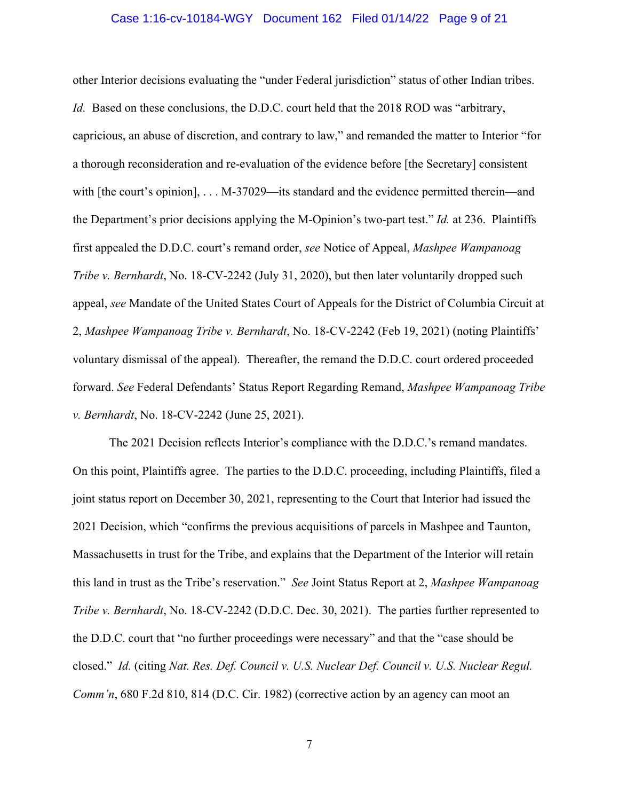#### Case 1:16-cv-10184-WGY Document 162 Filed 01/14/22 Page 9 of 21

other Interior decisions evaluating the "under Federal jurisdiction" status of other Indian tribes. *Id.* Based on these conclusions, the D.D.C. court held that the 2018 ROD was "arbitrary, capricious, an abuse of discretion, and contrary to law," and remanded the matter to Interior "for a thorough reconsideration and re-evaluation of the evidence before [the Secretary] consistent with [the court's opinion], ... M-37029—its standard and the evidence permitted therein—and the Department's prior decisions applying the M-Opinion's two-part test." *Id.* at 236. Plaintiffs first appealed the D.D.C. court's remand order, *see* Notice of Appeal, *Mashpee Wampanoag Tribe v. Bernhardt*, No. 18-CV-2242 (July 31, 2020), but then later voluntarily dropped such appeal, *see* Mandate of the United States Court of Appeals for the District of Columbia Circuit at 2, *Mashpee Wampanoag Tribe v. Bernhardt*, No. 18-CV-2242 (Feb 19, 2021) (noting Plaintiffs' voluntary dismissal of the appeal). Thereafter, the remand the D.D.C. court ordered proceeded forward. *See* Federal Defendants' Status Report Regarding Remand, *Mashpee Wampanoag Tribe v. Bernhardt*, No. 18-CV-2242 (June 25, 2021).

The 2021 Decision reflects Interior's compliance with the D.D.C.'s remand mandates. On this point, Plaintiffs agree. The parties to the D.D.C. proceeding, including Plaintiffs, filed a joint status report on December 30, 2021, representing to the Court that Interior had issued the 2021 Decision, which "confirms the previous acquisitions of parcels in Mashpee and Taunton, Massachusetts in trust for the Tribe, and explains that the Department of the Interior will retain this land in trust as the Tribe's reservation." *See* Joint Status Report at 2, *Mashpee Wampanoag Tribe v. Bernhardt*, No. 18-CV-2242 (D.D.C. Dec. 30, 2021). The parties further represented to the D.D.C. court that "no further proceedings were necessary" and that the "case should be closed." *Id.* (citing *Nat. Res. Def. Council v. U.S. Nuclear Def. Council v. U.S. Nuclear Regul. Comm'n*, 680 F.2d 810, 814 (D.C. Cir. 1982) (corrective action by an agency can moot an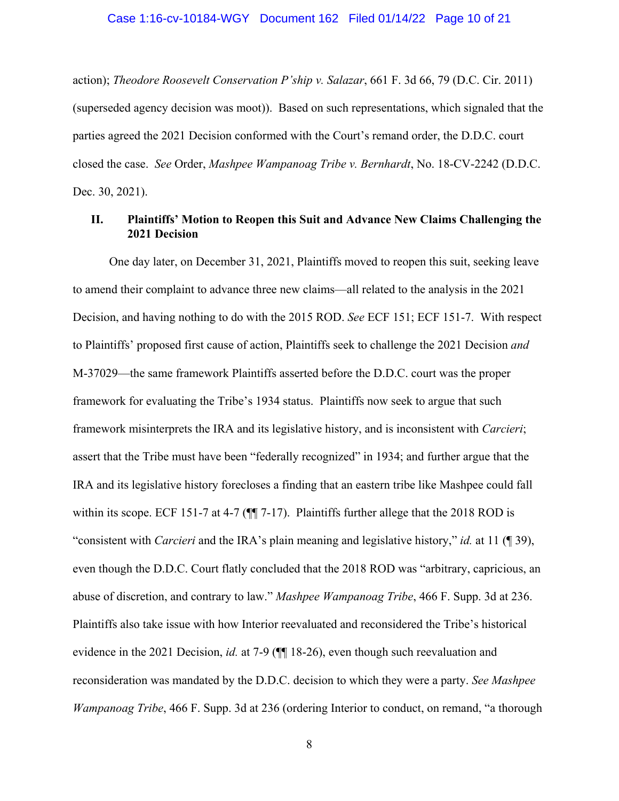#### Case 1:16-cv-10184-WGY Document 162 Filed 01/14/22 Page 10 of 21

action); *Theodore Roosevelt Conservation P'ship v. Salazar*, 661 F. 3d 66, 79 (D.C. Cir. 2011) (superseded agency decision was moot)). Based on such representations, which signaled that the parties agreed the 2021 Decision conformed with the Court's remand order, the D.D.C. court closed the case. *See* Order, *Mashpee Wampanoag Tribe v. Bernhardt*, No. 18-CV-2242 (D.D.C. Dec. 30, 2021).

# **II. Plaintiffs' Motion to Reopen this Suit and Advance New Claims Challenging the 2021 Decision**

One day later, on December 31, 2021, Plaintiffs moved to reopen this suit, seeking leave to amend their complaint to advance three new claims—all related to the analysis in the 2021 Decision, and having nothing to do with the 2015 ROD. *See* ECF 151; ECF 151-7. With respect to Plaintiffs' proposed first cause of action, Plaintiffs seek to challenge the 2021 Decision *and*  M-37029—the same framework Plaintiffs asserted before the D.D.C. court was the proper framework for evaluating the Tribe's 1934 status. Plaintiffs now seek to argue that such framework misinterprets the IRA and its legislative history, and is inconsistent with *Carcieri*; assert that the Tribe must have been "federally recognized" in 1934; and further argue that the IRA and its legislative history forecloses a finding that an eastern tribe like Mashpee could fall within its scope. ECF 151-7 at 4-7 ( $\P$  $\overline{ }$  7-17). Plaintiffs further allege that the 2018 ROD is "consistent with *Carcieri* and the IRA's plain meaning and legislative history," *id.* at 11 (¶ 39), even though the D.D.C. Court flatly concluded that the 2018 ROD was "arbitrary, capricious, an abuse of discretion, and contrary to law." *Mashpee Wampanoag Tribe*, 466 F. Supp. 3d at 236. Plaintiffs also take issue with how Interior reevaluated and reconsidered the Tribe's historical evidence in the 2021 Decision, *id.* at 7-9 (¶¶ 18-26), even though such reevaluation and reconsideration was mandated by the D.D.C. decision to which they were a party. *See Mashpee Wampanoag Tribe*, 466 F. Supp. 3d at 236 (ordering Interior to conduct, on remand, "a thorough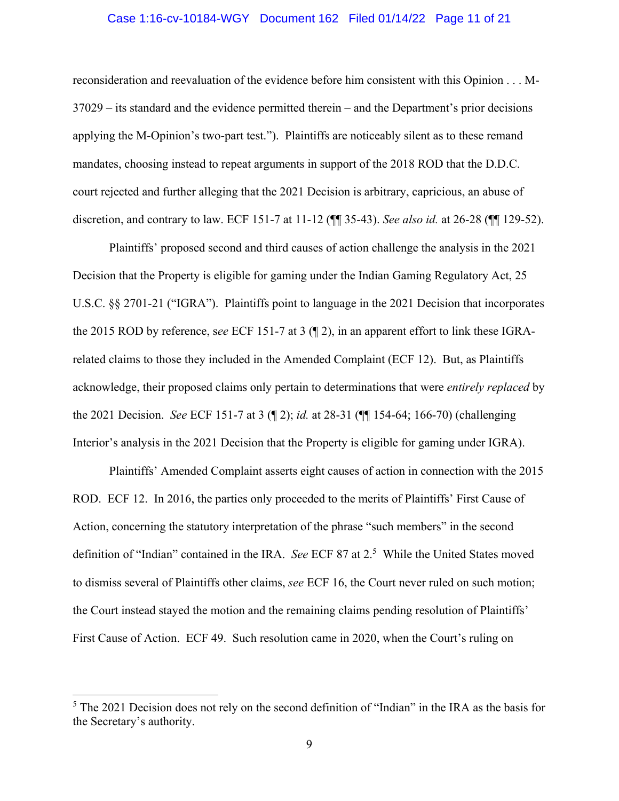### Case 1:16-cv-10184-WGY Document 162 Filed 01/14/22 Page 11 of 21

reconsideration and reevaluation of the evidence before him consistent with this Opinion . . . M-37029 – its standard and the evidence permitted therein – and the Department's prior decisions applying the M-Opinion's two-part test."). Plaintiffs are noticeably silent as to these remand mandates, choosing instead to repeat arguments in support of the 2018 ROD that the D.D.C. court rejected and further alleging that the 2021 Decision is arbitrary, capricious, an abuse of discretion, and contrary to law. ECF 151-7 at 11-12 (¶¶ 35-43). *See also id.* at 26-28 (¶¶ 129-52).

Plaintiffs' proposed second and third causes of action challenge the analysis in the 2021 Decision that the Property is eligible for gaming under the Indian Gaming Regulatory Act, 25 U.S.C. §§ 2701-21 ("IGRA"). Plaintiffs point to language in the 2021 Decision that incorporates the 2015 ROD by reference, s*ee* ECF 151-7 at 3 (¶ 2), in an apparent effort to link these IGRArelated claims to those they included in the Amended Complaint (ECF 12). But, as Plaintiffs acknowledge, their proposed claims only pertain to determinations that were *entirely replaced* by the 2021 Decision. *See* ECF 151-7 at 3 (¶ 2); *id.* at 28-31 (¶¶ 154-64; 166-70) (challenging Interior's analysis in the 2021 Decision that the Property is eligible for gaming under IGRA).

Plaintiffs' Amended Complaint asserts eight causes of action in connection with the 2015 ROD. ECF 12. In 2016, the parties only proceeded to the merits of Plaintiffs' First Cause of Action, concerning the statutory interpretation of the phrase "such members" in the second definition of "Indian" contained in the IRA. *See* ECF 87 at 2.<sup>5</sup> While the United States moved to dismiss several of Plaintiffs other claims, *see* ECF 16, the Court never ruled on such motion; the Court instead stayed the motion and the remaining claims pending resolution of Plaintiffs' First Cause of Action. ECF 49. Such resolution came in 2020, when the Court's ruling on

 $<sup>5</sup>$  The 2021 Decision does not rely on the second definition of "Indian" in the IRA as the basis for</sup> the Secretary's authority.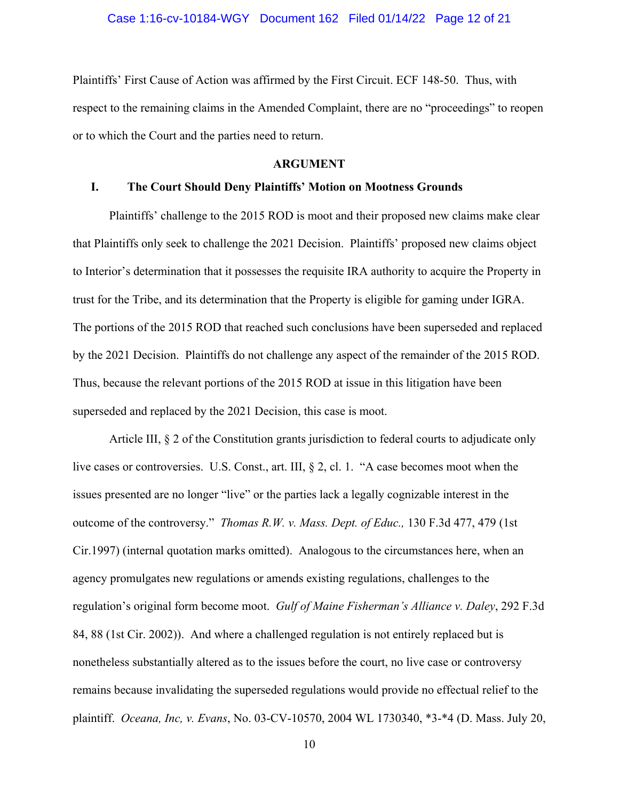### Case 1:16-cv-10184-WGY Document 162 Filed 01/14/22 Page 12 of 21

Plaintiffs' First Cause of Action was affirmed by the First Circuit. ECF 148-50. Thus, with respect to the remaining claims in the Amended Complaint, there are no "proceedings" to reopen or to which the Court and the parties need to return.

### **ARGUMENT**

#### **I. The Court Should Deny Plaintiffs' Motion on Mootness Grounds**

Plaintiffs' challenge to the 2015 ROD is moot and their proposed new claims make clear that Plaintiffs only seek to challenge the 2021 Decision. Plaintiffs' proposed new claims object to Interior's determination that it possesses the requisite IRA authority to acquire the Property in trust for the Tribe, and its determination that the Property is eligible for gaming under IGRA. The portions of the 2015 ROD that reached such conclusions have been superseded and replaced by the 2021 Decision. Plaintiffs do not challenge any aspect of the remainder of the 2015 ROD. Thus, because the relevant portions of the 2015 ROD at issue in this litigation have been superseded and replaced by the 2021 Decision, this case is moot.

Article III, § 2 of the Constitution grants jurisdiction to federal courts to adjudicate only live cases or controversies. U.S. Const., art. III, § 2, cl. 1. "A case becomes moot when the issues presented are no longer "live" or the parties lack a legally cognizable interest in the outcome of the controversy." *Thomas R.W. v. Mass. Dept. of Educ.,* 130 F.3d 477, 479 (1st Cir.1997) (internal quotation marks omitted). Analogous to the circumstances here, when an agency promulgates new regulations or amends existing regulations, challenges to the regulation's original form become moot. *Gulf of Maine Fisherman's Alliance v. Daley*, 292 F.3d 84, 88 (1st Cir. 2002)). And where a challenged regulation is not entirely replaced but is nonetheless substantially altered as to the issues before the court, no live case or controversy remains because invalidating the superseded regulations would provide no effectual relief to the plaintiff. *Oceana, Inc, v. Evans*, No. 03-CV-10570, 2004 WL 1730340, \*3-\*4 (D. Mass. July 20,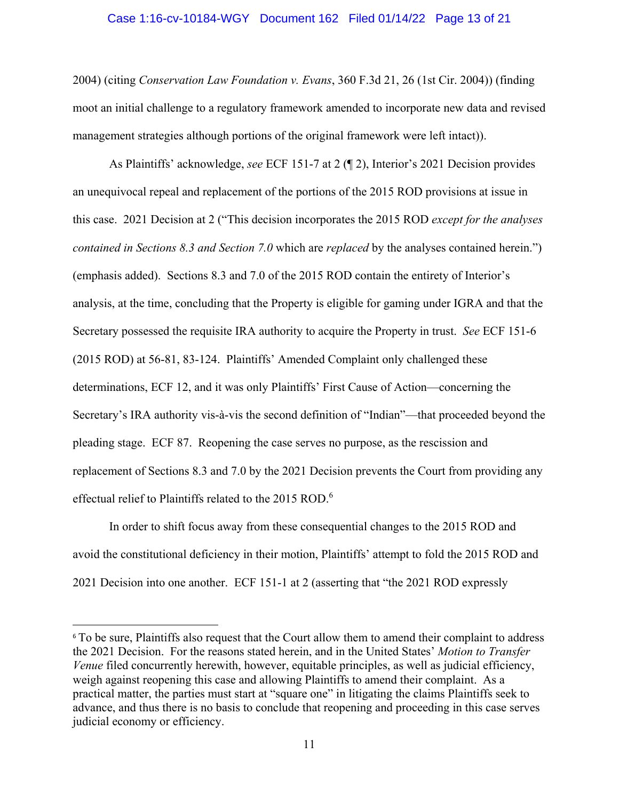### Case 1:16-cv-10184-WGY Document 162 Filed 01/14/22 Page 13 of 21

2004) (citing *Conservation Law Foundation v. Evans*, 360 F.3d 21, 26 (1st Cir. 2004)) (finding moot an initial challenge to a regulatory framework amended to incorporate new data and revised management strategies although portions of the original framework were left intact)).

As Plaintiffs' acknowledge, *see* ECF 151-7 at 2 (¶ 2), Interior's 2021 Decision provides an unequivocal repeal and replacement of the portions of the 2015 ROD provisions at issue in this case. 2021 Decision at 2 ("This decision incorporates the 2015 ROD *except for the analyses contained in Sections 8.3 and Section 7.0* which are *replaced* by the analyses contained herein.") (emphasis added). Sections 8.3 and 7.0 of the 2015 ROD contain the entirety of Interior's analysis, at the time, concluding that the Property is eligible for gaming under IGRA and that the Secretary possessed the requisite IRA authority to acquire the Property in trust. *See* ECF 151-6 (2015 ROD) at 56-81, 83-124. Plaintiffs' Amended Complaint only challenged these determinations, ECF 12, and it was only Plaintiffs' First Cause of Action—concerning the Secretary's IRA authority vis-à-vis the second definition of "Indian"—that proceeded beyond the pleading stage. ECF 87. Reopening the case serves no purpose, as the rescission and replacement of Sections 8.3 and 7.0 by the 2021 Decision prevents the Court from providing any effectual relief to Plaintiffs related to the 2015 ROD.<sup>6</sup>

In order to shift focus away from these consequential changes to the 2015 ROD and avoid the constitutional deficiency in their motion, Plaintiffs' attempt to fold the 2015 ROD and 2021 Decision into one another. ECF 151-1 at 2 (asserting that "the 2021 ROD expressly

<sup>&</sup>lt;sup>6</sup> To be sure, Plaintiffs also request that the Court allow them to amend their complaint to address the 2021 Decision. For the reasons stated herein, and in the United States' *Motion to Transfer Venue* filed concurrently herewith, however, equitable principles, as well as judicial efficiency, weigh against reopening this case and allowing Plaintiffs to amend their complaint. As a practical matter, the parties must start at "square one" in litigating the claims Plaintiffs seek to advance, and thus there is no basis to conclude that reopening and proceeding in this case serves judicial economy or efficiency.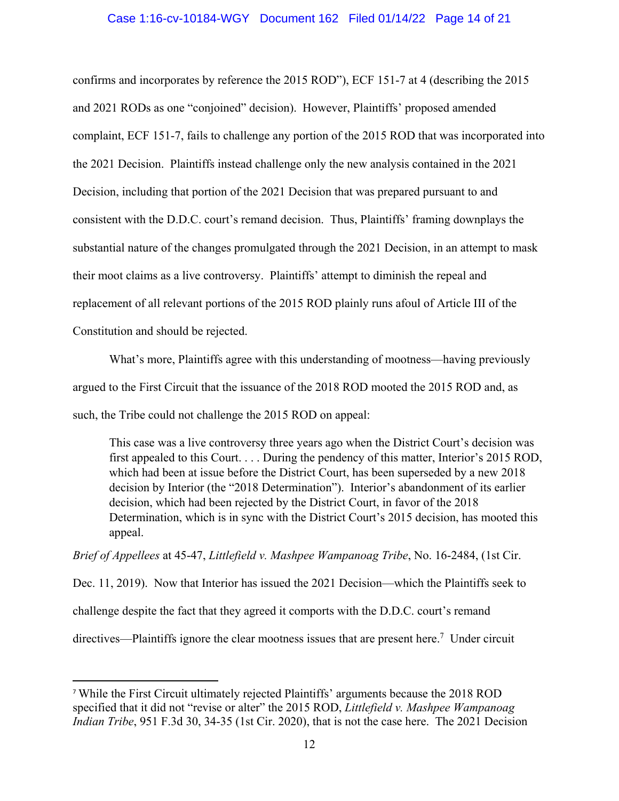#### Case 1:16-cv-10184-WGY Document 162 Filed 01/14/22 Page 14 of 21

confirms and incorporates by reference the 2015 ROD"), ECF 151-7 at 4 (describing the 2015 and 2021 RODs as one "conjoined" decision). However, Plaintiffs' proposed amended complaint, ECF 151-7, fails to challenge any portion of the 2015 ROD that was incorporated into the 2021 Decision. Plaintiffs instead challenge only the new analysis contained in the 2021 Decision, including that portion of the 2021 Decision that was prepared pursuant to and consistent with the D.D.C. court's remand decision. Thus, Plaintiffs' framing downplays the substantial nature of the changes promulgated through the 2021 Decision, in an attempt to mask their moot claims as a live controversy. Plaintiffs' attempt to diminish the repeal and replacement of all relevant portions of the 2015 ROD plainly runs afoul of Article III of the Constitution and should be rejected.

What's more, Plaintiffs agree with this understanding of mootness—having previously argued to the First Circuit that the issuance of the 2018 ROD mooted the 2015 ROD and, as such, the Tribe could not challenge the 2015 ROD on appeal:

This case was a live controversy three years ago when the District Court's decision was first appealed to this Court. . . . During the pendency of this matter, Interior's 2015 ROD, which had been at issue before the District Court, has been superseded by a new 2018 decision by Interior (the "2018 Determination"). Interior's abandonment of its earlier decision, which had been rejected by the District Court, in favor of the 2018 Determination, which is in sync with the District Court's 2015 decision, has mooted this appeal.

*Brief of Appellees* at 45-47, *Littlefield v. Mashpee Wampanoag Tribe*, No. 16-2484, (1st Cir.

Dec. 11, 2019). Now that Interior has issued the 2021 Decision—which the Plaintiffs seek to challenge despite the fact that they agreed it comports with the D.D.C. court's remand directives—Plaintiffs ignore the clear mootness issues that are present here.<sup>7</sup> Under circuit

<sup>7</sup> While the First Circuit ultimately rejected Plaintiffs' arguments because the 2018 ROD specified that it did not "revise or alter" the 2015 ROD, *Littlefield v. Mashpee Wampanoag Indian Tribe*, 951 F.3d 30, 34-35 (1st Cir. 2020), that is not the case here. The 2021 Decision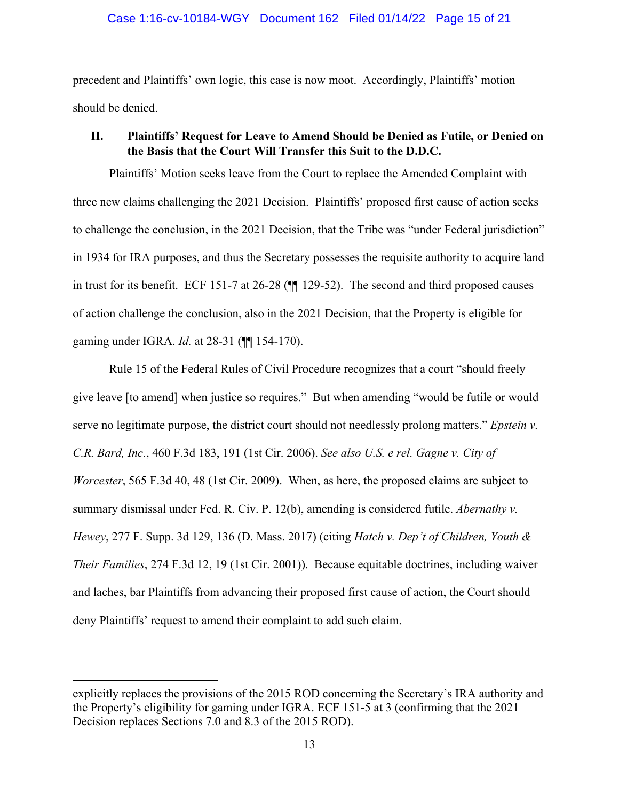### Case 1:16-cv-10184-WGY Document 162 Filed 01/14/22 Page 15 of 21

precedent and Plaintiffs' own logic, this case is now moot. Accordingly, Plaintiffs' motion should be denied.

# **II. Plaintiffs' Request for Leave to Amend Should be Denied as Futile, or Denied on the Basis that the Court Will Transfer this Suit to the D.D.C.**

Plaintiffs' Motion seeks leave from the Court to replace the Amended Complaint with three new claims challenging the 2021 Decision. Plaintiffs' proposed first cause of action seeks to challenge the conclusion, in the 2021 Decision, that the Tribe was "under Federal jurisdiction" in 1934 for IRA purposes, and thus the Secretary possesses the requisite authority to acquire land in trust for its benefit. ECF 151-7 at 26-28 (¶¶ 129-52). The second and third proposed causes of action challenge the conclusion, also in the 2021 Decision, that the Property is eligible for gaming under IGRA. *Id.* at 28-31 (¶¶ 154-170).

Rule 15 of the Federal Rules of Civil Procedure recognizes that a court "should freely give leave [to amend] when justice so requires." But when amending "would be futile or would serve no legitimate purpose, the district court should not needlessly prolong matters." *Epstein v. C.R. Bard, Inc.*, 460 F.3d 183, 191 (1st Cir. 2006). *See also U.S. e rel. Gagne v. City of Worcester*, 565 F.3d 40, 48 (1st Cir. 2009). When, as here, the proposed claims are subject to summary dismissal under Fed. R. Civ. P. 12(b), amending is considered futile. *Abernathy v. Hewey*, 277 F. Supp. 3d 129, 136 (D. Mass. 2017) (citing *Hatch v. Dep't of Children, Youth & Their Families*, 274 F.3d 12, 19 (1st Cir. 2001)). Because equitable doctrines, including waiver and laches, bar Plaintiffs from advancing their proposed first cause of action, the Court should deny Plaintiffs' request to amend their complaint to add such claim.

explicitly replaces the provisions of the 2015 ROD concerning the Secretary's IRA authority and the Property's eligibility for gaming under IGRA. ECF 151-5 at 3 (confirming that the 2021 Decision replaces Sections 7.0 and 8.3 of the 2015 ROD).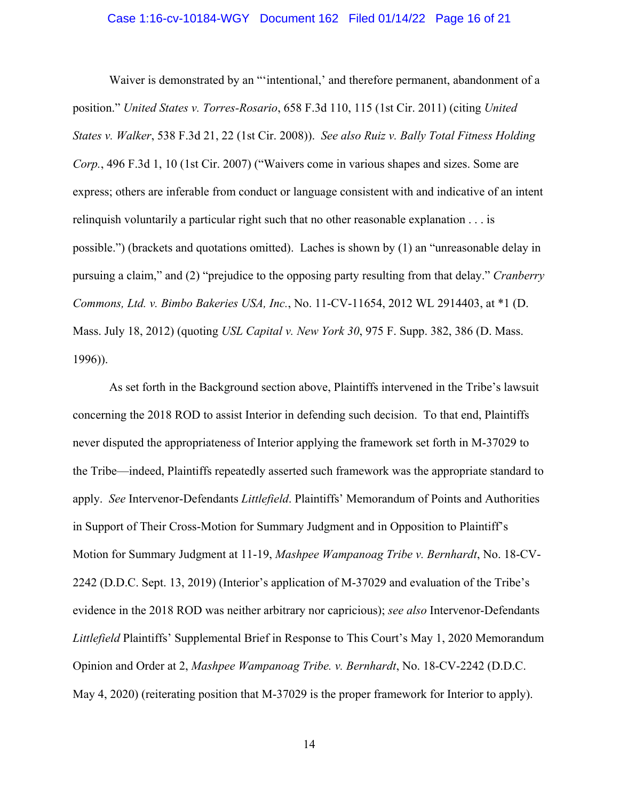### Case 1:16-cv-10184-WGY Document 162 Filed 01/14/22 Page 16 of 21

Waiver is demonstrated by an "'intentional,' and therefore permanent, abandonment of a position." *United States v. Torres-Rosario*, 658 F.3d 110, 115 (1st Cir. 2011) (citing *United States v. Walker*, 538 F.3d 21, 22 (1st Cir. 2008)). *See also Ruiz v. Bally Total Fitness Holding Corp.*, 496 F.3d 1, 10 (1st Cir. 2007) ("Waivers come in various shapes and sizes. Some are express; others are inferable from conduct or language consistent with and indicative of an intent relinquish voluntarily a particular right such that no other reasonable explanation . . . is possible.") (brackets and quotations omitted). Laches is shown by (1) an "unreasonable delay in pursuing a claim," and (2) "prejudice to the opposing party resulting from that delay." *Cranberry Commons, Ltd. v. Bimbo Bakeries USA, Inc.*, No. 11-CV-11654, 2012 WL 2914403, at \*1 (D. Mass. July 18, 2012) (quoting *USL Capital v. New York 30*, 975 F. Supp. 382, 386 (D. Mass. 1996)).

As set forth in the Background section above, Plaintiffs intervened in the Tribe's lawsuit concerning the 2018 ROD to assist Interior in defending such decision. To that end, Plaintiffs never disputed the appropriateness of Interior applying the framework set forth in M-37029 to the Tribe—indeed, Plaintiffs repeatedly asserted such framework was the appropriate standard to apply. *See* Intervenor-Defendants *Littlefield*. Plaintiffs' Memorandum of Points and Authorities in Support of Their Cross-Motion for Summary Judgment and in Opposition to Plaintiff's Motion for Summary Judgment at 11-19, *Mashpee Wampanoag Tribe v. Bernhardt*, No. 18-CV-2242 (D.D.C. Sept. 13, 2019) (Interior's application of M-37029 and evaluation of the Tribe's evidence in the 2018 ROD was neither arbitrary nor capricious); *see also* Intervenor-Defendants *Littlefield* Plaintiffs' Supplemental Brief in Response to This Court's May 1, 2020 Memorandum Opinion and Order at 2, *Mashpee Wampanoag Tribe. v. Bernhardt*, No. 18-CV-2242 (D.D.C. May 4, 2020) (reiterating position that M-37029 is the proper framework for Interior to apply).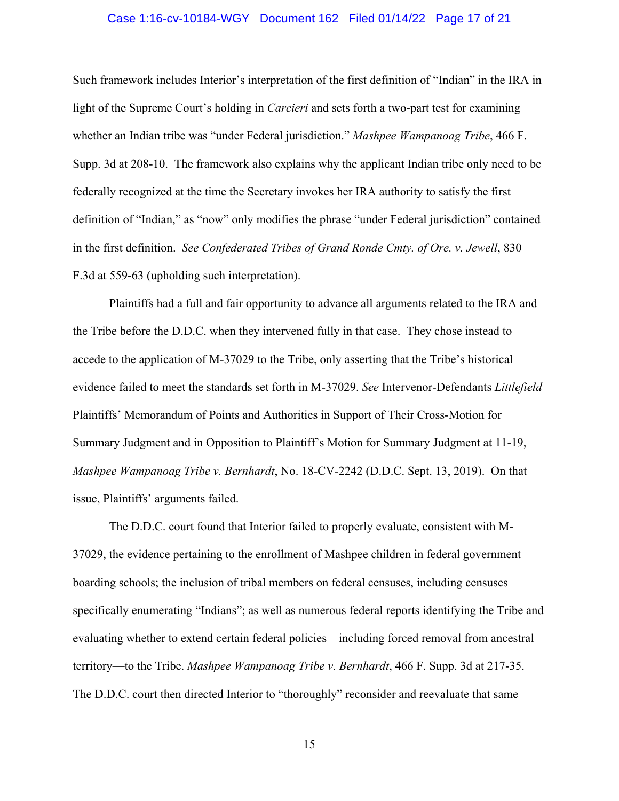### Case 1:16-cv-10184-WGY Document 162 Filed 01/14/22 Page 17 of 21

Such framework includes Interior's interpretation of the first definition of "Indian" in the IRA in light of the Supreme Court's holding in *Carcieri* and sets forth a two-part test for examining whether an Indian tribe was "under Federal jurisdiction." *Mashpee Wampanoag Tribe*, 466 F. Supp. 3d at 208-10. The framework also explains why the applicant Indian tribe only need to be federally recognized at the time the Secretary invokes her IRA authority to satisfy the first definition of "Indian," as "now" only modifies the phrase "under Federal jurisdiction" contained in the first definition. *See Confederated Tribes of Grand Ronde Cmty. of Ore. v. Jewell*, 830 F.3d at 559-63 (upholding such interpretation).

Plaintiffs had a full and fair opportunity to advance all arguments related to the IRA and the Tribe before the D.D.C. when they intervened fully in that case. They chose instead to accede to the application of M-37029 to the Tribe, only asserting that the Tribe's historical evidence failed to meet the standards set forth in M-37029. *See* Intervenor-Defendants *Littlefield* Plaintiffs' Memorandum of Points and Authorities in Support of Their Cross-Motion for Summary Judgment and in Opposition to Plaintiff's Motion for Summary Judgment at 11-19, *Mashpee Wampanoag Tribe v. Bernhardt*, No. 18-CV-2242 (D.D.C. Sept. 13, 2019). On that issue, Plaintiffs' arguments failed.

The D.D.C. court found that Interior failed to properly evaluate, consistent with M-37029, the evidence pertaining to the enrollment of Mashpee children in federal government boarding schools; the inclusion of tribal members on federal censuses, including censuses specifically enumerating "Indians"; as well as numerous federal reports identifying the Tribe and evaluating whether to extend certain federal policies—including forced removal from ancestral territory—to the Tribe. *Mashpee Wampanoag Tribe v. Bernhardt*, 466 F. Supp. 3d at 217-35. The D.D.C. court then directed Interior to "thoroughly" reconsider and reevaluate that same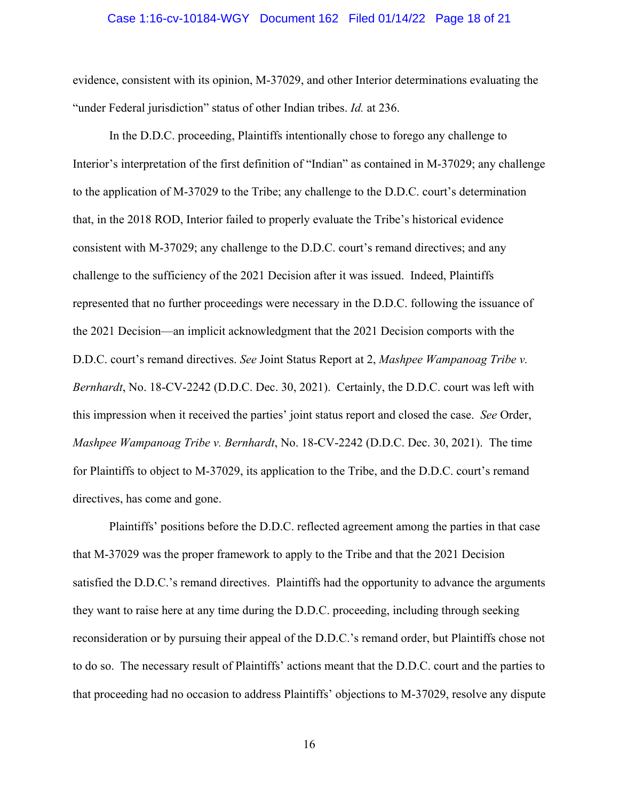#### Case 1:16-cv-10184-WGY Document 162 Filed 01/14/22 Page 18 of 21

evidence, consistent with its opinion, M-37029, and other Interior determinations evaluating the "under Federal jurisdiction" status of other Indian tribes. *Id.* at 236.

In the D.D.C. proceeding, Plaintiffs intentionally chose to forego any challenge to Interior's interpretation of the first definition of "Indian" as contained in M-37029; any challenge to the application of M-37029 to the Tribe; any challenge to the D.D.C. court's determination that, in the 2018 ROD, Interior failed to properly evaluate the Tribe's historical evidence consistent with M-37029; any challenge to the D.D.C. court's remand directives; and any challenge to the sufficiency of the 2021 Decision after it was issued. Indeed, Plaintiffs represented that no further proceedings were necessary in the D.D.C. following the issuance of the 2021 Decision—an implicit acknowledgment that the 2021 Decision comports with the D.D.C. court's remand directives. *See* Joint Status Report at 2, *Mashpee Wampanoag Tribe v. Bernhardt*, No. 18-CV-2242 (D.D.C. Dec. 30, 2021). Certainly, the D.D.C. court was left with this impression when it received the parties' joint status report and closed the case. *See* Order, *Mashpee Wampanoag Tribe v. Bernhardt*, No. 18-CV-2242 (D.D.C. Dec. 30, 2021). The time for Plaintiffs to object to M-37029, its application to the Tribe, and the D.D.C. court's remand directives, has come and gone.

Plaintiffs' positions before the D.D.C. reflected agreement among the parties in that case that M-37029 was the proper framework to apply to the Tribe and that the 2021 Decision satisfied the D.D.C.'s remand directives. Plaintiffs had the opportunity to advance the arguments they want to raise here at any time during the D.D.C. proceeding, including through seeking reconsideration or by pursuing their appeal of the D.D.C.'s remand order, but Plaintiffs chose not to do so. The necessary result of Plaintiffs' actions meant that the D.D.C. court and the parties to that proceeding had no occasion to address Plaintiffs' objections to M-37029, resolve any dispute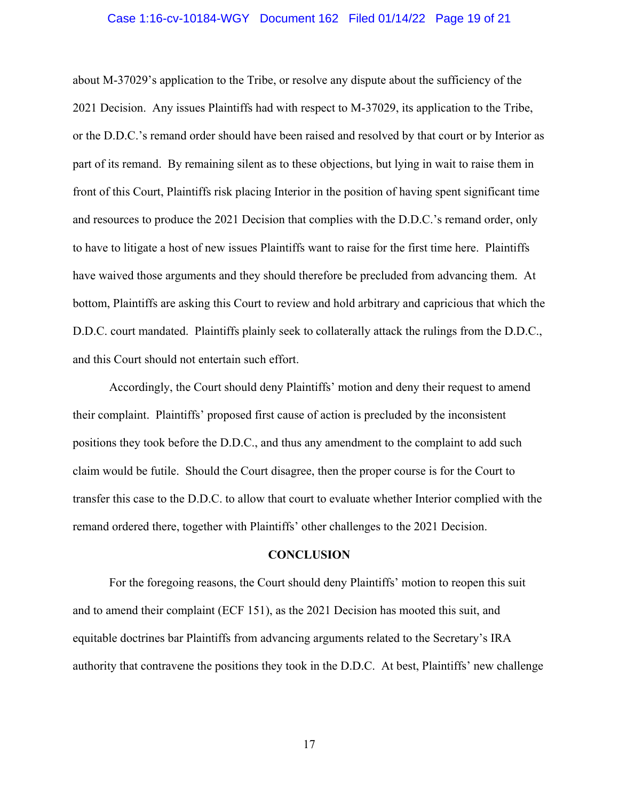### Case 1:16-cv-10184-WGY Document 162 Filed 01/14/22 Page 19 of 21

about M-37029's application to the Tribe, or resolve any dispute about the sufficiency of the 2021 Decision. Any issues Plaintiffs had with respect to M-37029, its application to the Tribe, or the D.D.C.'s remand order should have been raised and resolved by that court or by Interior as part of its remand. By remaining silent as to these objections, but lying in wait to raise them in front of this Court, Plaintiffs risk placing Interior in the position of having spent significant time and resources to produce the 2021 Decision that complies with the D.D.C.'s remand order, only to have to litigate a host of new issues Plaintiffs want to raise for the first time here. Plaintiffs have waived those arguments and they should therefore be precluded from advancing them. At bottom, Plaintiffs are asking this Court to review and hold arbitrary and capricious that which the D.D.C. court mandated. Plaintiffs plainly seek to collaterally attack the rulings from the D.D.C., and this Court should not entertain such effort.

Accordingly, the Court should deny Plaintiffs' motion and deny their request to amend their complaint. Plaintiffs' proposed first cause of action is precluded by the inconsistent positions they took before the D.D.C., and thus any amendment to the complaint to add such claim would be futile. Should the Court disagree, then the proper course is for the Court to transfer this case to the D.D.C. to allow that court to evaluate whether Interior complied with the remand ordered there, together with Plaintiffs' other challenges to the 2021 Decision.

#### **CONCLUSION**

For the foregoing reasons, the Court should deny Plaintiffs' motion to reopen this suit and to amend their complaint (ECF 151), as the 2021 Decision has mooted this suit, and equitable doctrines bar Plaintiffs from advancing arguments related to the Secretary's IRA authority that contravene the positions they took in the D.D.C. At best, Plaintiffs' new challenge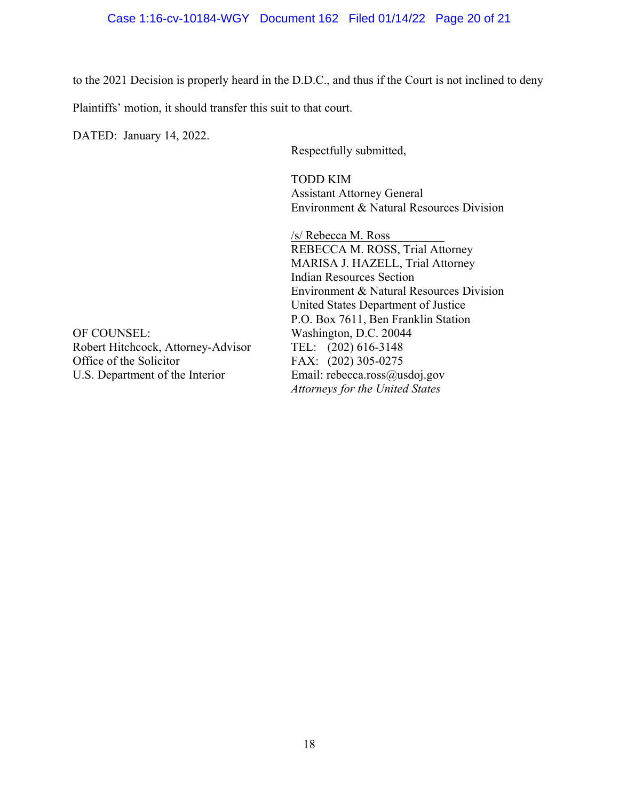to the 2021 Decision is properly heard in the D.D.C., and thus if the Court is not inclined to deny

Plaintiffs' motion, it should transfer this suit to that court.

DATED: January 14, 2022.

Respectfully submitted,

TODD KIM Assistant Attorney General Environment & Natural Resources Division

/s/ Rebecca M. Ross REBECCA M. ROSS, Trial Attorney MARISA J. HAZELL, Trial Attorney Indian Resources Section Environment & Natural Resources Division United States Department of Justice P.O. Box 7611, Ben Franklin Station *Attorneys for the United States*

OF COUNSEL: Washington, D.C. 20044<br>Robert Hitchcock, Attorney-Advisor TEL: (202) 616-3148 Robert Hitchcock, Attorney-Advisor Office of the Solicitor FAX: (202) 305-0275 U.S. Department of the Interior Email: rebecca.ross@usdoj.gov